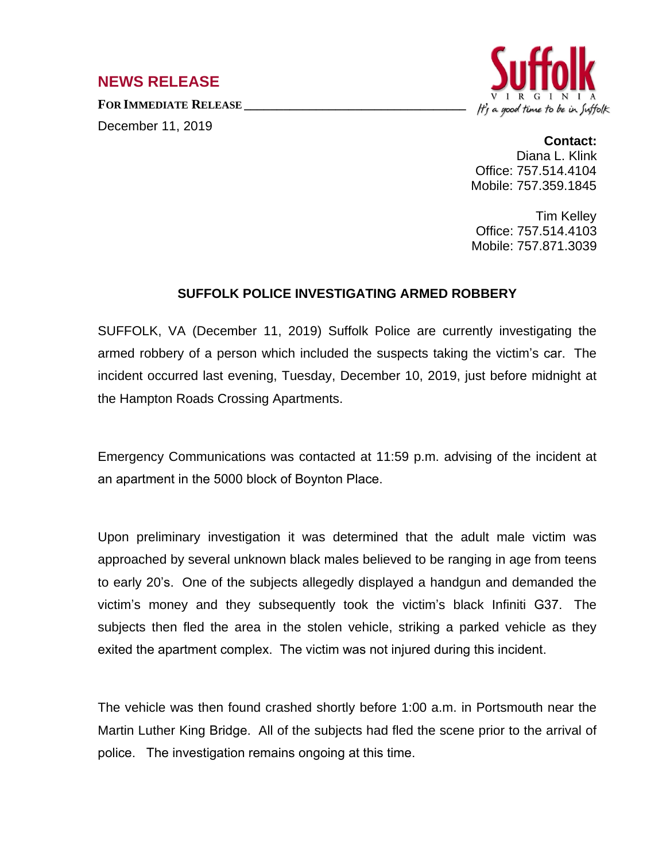## **NEWS RELEASE**

**FOR IMMEDIATE RELEASE \_\_\_\_\_\_\_\_\_\_\_\_\_\_\_\_\_\_\_\_\_\_\_\_\_\_\_\_\_\_\_\_\_\_**

December 11, 2019



## **Contact:**

Diana L. Klink Office: 757.514.4104 Mobile: 757.359.1845

Tim Kelley Office: 757.514.4103 Mobile: 757.871.3039

## **SUFFOLK POLICE INVESTIGATING ARMED ROBBERY**

SUFFOLK, VA (December 11, 2019) Suffolk Police are currently investigating the armed robbery of a person which included the suspects taking the victim's car. The incident occurred last evening, Tuesday, December 10, 2019, just before midnight at the Hampton Roads Crossing Apartments.

Emergency Communications was contacted at 11:59 p.m. advising of the incident at an apartment in the 5000 block of Boynton Place.

Upon preliminary investigation it was determined that the adult male victim was approached by several unknown black males believed to be ranging in age from teens to early 20's. One of the subjects allegedly displayed a handgun and demanded the victim's money and they subsequently took the victim's black Infiniti G37. The subjects then fled the area in the stolen vehicle, striking a parked vehicle as they exited the apartment complex. The victim was not injured during this incident.

The vehicle was then found crashed shortly before 1:00 a.m. in Portsmouth near the Martin Luther King Bridge. All of the subjects had fled the scene prior to the arrival of police. The investigation remains ongoing at this time.